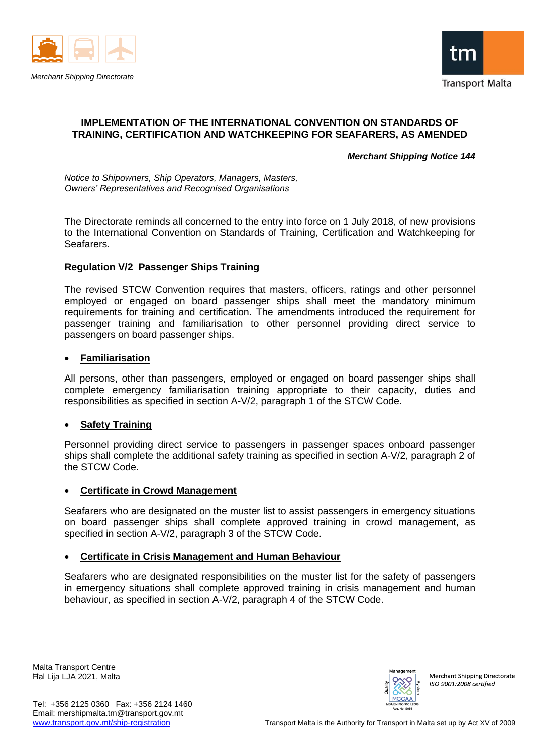



### **IMPLEMENTATION OF THE INTERNATIONAL CONVENTION ON STANDARDS OF TRAINING, CERTIFICATION AND WATCHKEEPING FOR SEAFARERS, AS AMENDED**

*Merchant Shipping Notice 144*

*Notice to Shipowners, Ship Operators, Managers, Masters, Owners' Representatives and Recognised Organisations* 

The Directorate reminds all concerned to the entry into force on 1 July 2018, of new provisions to the International Convention on Standards of Training, Certification and Watchkeeping for Seafarers.

## **Regulation V/2 Passenger Ships Training**

The revised STCW Convention requires that masters, officers, ratings and other personnel employed or engaged on board passenger ships shall meet the mandatory minimum requirements for training and certification. The amendments introduced the requirement for passenger training and familiarisation to other personnel providing direct service to passengers on board passenger ships.

### • **Familiarisation**

All persons, other than passengers, employed or engaged on board passenger ships shall complete emergency familiarisation training appropriate to their capacity, duties and responsibilities as specified in section A-V/2, paragraph 1 of the STCW Code.

### • **Safety Training**

Personnel providing direct service to passengers in passenger spaces onboard passenger ships shall complete the additional safety training as specified in section A-V/2, paragraph 2 of the STCW Code.

## • **Certificate in Crowd Management**

Seafarers who are designated on the muster list to assist passengers in emergency situations on board passenger ships shall complete approved training in crowd management, as specified in section A-V/2, paragraph 3 of the STCW Code.

## • **Certificate in Crisis Management and Human Behaviour**

Seafarers who are designated responsibilities on the muster list for the safety of passengers in emergency situations shall complete approved training in crisis management and human behaviour, as specified in section A-V/2, paragraph 4 of the STCW Code.

Malta Transport Centre Ħal Lija LJA 2021, Malta



Merchant Shipping Directorate  $ISO$  9001:2008 certified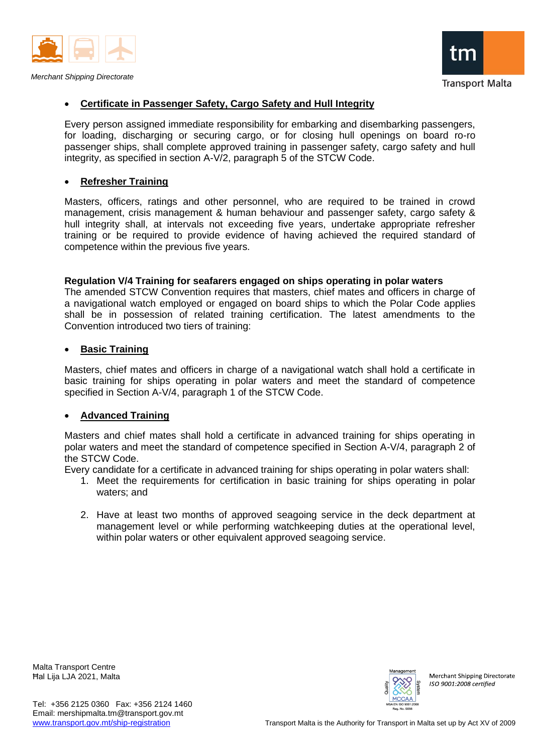



#### • **Certificate in Passenger Safety, Cargo Safety and Hull Integrity**

Every person assigned immediate responsibility for embarking and disembarking passengers, for loading, discharging or securing cargo, or for closing hull openings on board ro-ro passenger ships, shall complete approved training in passenger safety, cargo safety and hull integrity, as specified in section A-V/2, paragraph 5 of the STCW Code.

### • **Refresher Training**

Masters, officers, ratings and other personnel, who are required to be trained in crowd management, crisis management & human behaviour and passenger safety, cargo safety & hull integrity shall, at intervals not exceeding five years, undertake appropriate refresher training or be required to provide evidence of having achieved the required standard of competence within the previous five years.

#### **Regulation V/4 Training for seafarers engaged on ships operating in polar waters**

The amended STCW Convention requires that masters, chief mates and officers in charge of a navigational watch employed or engaged on board ships to which the Polar Code applies shall be in possession of related training certification. The latest amendments to the Convention introduced two tiers of training:

### • **Basic Training**

Masters, chief mates and officers in charge of a navigational watch shall hold a certificate in basic training for ships operating in polar waters and meet the standard of competence specified in Section A-V/4, paragraph 1 of the STCW Code.

### • **Advanced Training**

Masters and chief mates shall hold a certificate in advanced training for ships operating in polar waters and meet the standard of competence specified in Section A-V/4, paragraph 2 of the STCW Code.

Every candidate for a certificate in advanced training for ships operating in polar waters shall:

- 1. Meet the requirements for certification in basic training for ships operating in polar waters; and
- 2. Have at least two months of approved seagoing service in the deck department at management level or while performing watchkeeping duties at the operational level, within polar waters or other equivalent approved seagoing service.

Malta Transport Centre Ħal Lija LJA 2021, Malta



Merchant Shipping Directorate  $ISO$  9001:2008 certified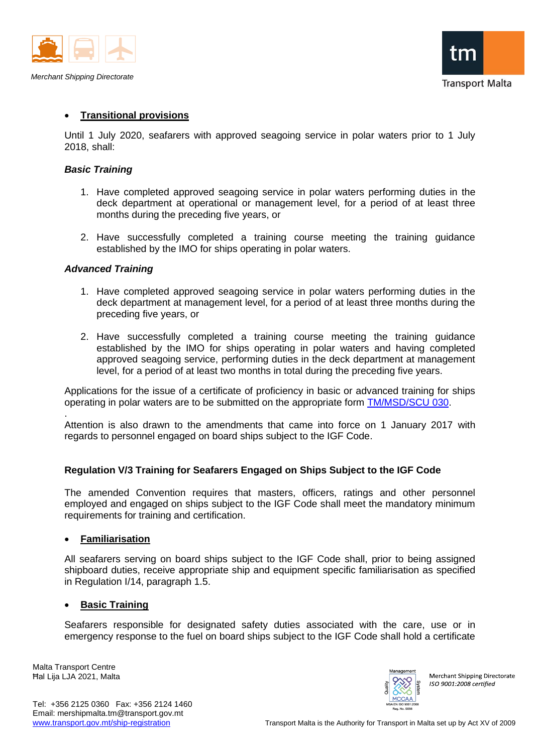



## • **Transitional provisions**

Until 1 July 2020, seafarers with approved seagoing service in polar waters prior to 1 July 2018, shall:

### *Basic Training*

- 1. Have completed approved seagoing service in polar waters performing duties in the deck department at operational or management level, for a period of at least three months during the preceding five years, or
- 2. Have successfully completed a training course meeting the training guidance established by the IMO for ships operating in polar waters.

### *Advanced Training*

- 1. Have completed approved seagoing service in polar waters performing duties in the deck department at management level, for a period of at least three months during the preceding five years, or
- 2. Have successfully completed a training course meeting the training guidance established by the IMO for ships operating in polar waters and having completed approved seagoing service, performing duties in the deck department at management level, for a period of at least two months in total during the preceding five years.

Applications for the issue of a certificate of proficiency in basic or advanced training for ships operating in polar waters are to be submitted on the appropriate form [TM/MSD/SCU 030.](https://www.transport.gov.mt/Copy-of-Form-TM-MSD-SCU-030-Application-for-a-certificate-of-proficiency-for-Basic-and-Advanced-Training-for-Ships-Operating-in-Polar-Waters.doc-f3843)

Attention is also drawn to the amendments that came into force on 1 January 2017 with regards to personnel engaged on board ships subject to the IGF Code.

### **Regulation V/3 Training for Seafarers Engaged on Ships Subject to the IGF Code**

The amended Convention requires that masters, officers, ratings and other personnel employed and engaged on ships subject to the IGF Code shall meet the mandatory minimum requirements for training and certification.

### • **Familiarisation**

All seafarers serving on board ships subject to the IGF Code shall, prior to being assigned shipboard duties, receive appropriate ship and equipment specific familiarisation as specified in Regulation I/14, paragraph 1.5.

### • **Basic Training**

Seafarers responsible for designated safety duties associated with the care, use or in emergency response to the fuel on board ships subject to the IGF Code shall hold a certificate

Malta Transport Centre Ħal Lija LJA 2021, Malta

.



Merchant Shipping Directorate ISO 9001:2008 certified